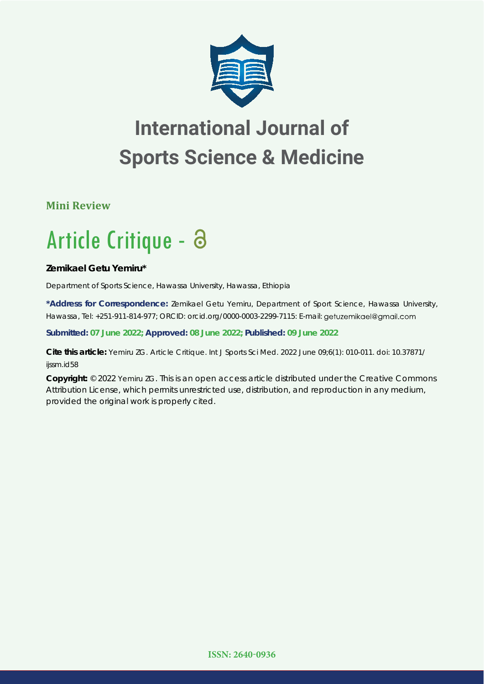

## **International Journal of Sports Science & Medicine**

**Mini Review**

# Article Critique -

**Zemikael Getu Yemiru\***

*Department of Sports Science, Hawassa University, Hawassa, Ethiopia*

**\*Address for Correspondence:** Zemikael Getu Yemiru, Department of Sport Science, Hawassa University, Hawassa, Tel: +251-911-814-977; ORCID: orcid.org/0000-0003-2299-7115: E-mail:

**Submitted: 07 June 2022; Approved: 08 June 2022; Published: 09 June 2022**

**Cite this article:** Yemiru ZG. Article Critique. Int J Sports Sci Med. 2022 June 09;6(1): 010-011. doi: 10.37871/ ijssm.id58

**Copyright:** © 2022 Yemiru ZG. This is an open access article distributed under the Creative Commons Attribution License, which permits unrestricted use, distribution, and reproduction in any medium, provided the original work is properly cited.